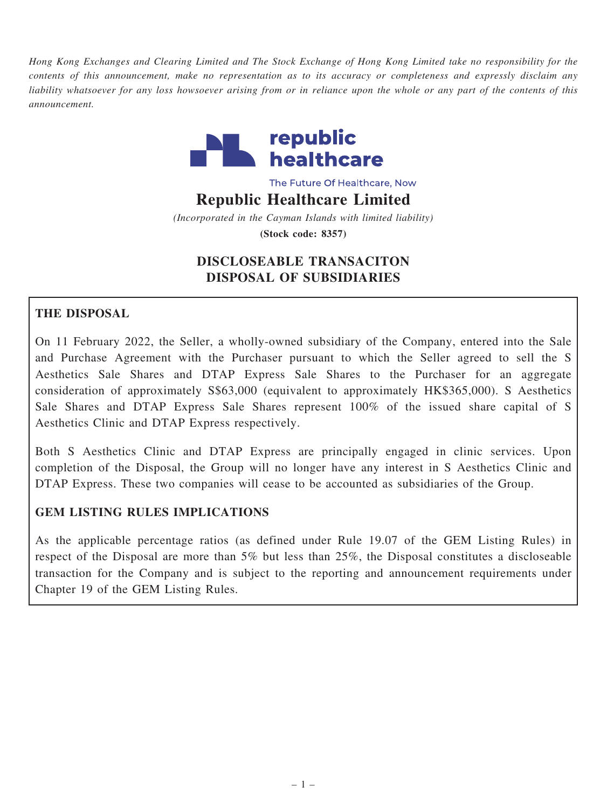Hong Kong Exchanges and Clearing Limited and The Stock Exchange of Hong Kong Limited take no responsibility for the contents of this announcement, make no representation as to its accuracy or completeness and expressly disclaim any liability whatsoever for any loss howsoever arising from or in reliance upon the whole or any part of the contents of this announcement.



The Future Of Healthcare, Now

#### Republic Healthcare Limited

(Incorporated in the Cayman Islands with limited liability) (Stock code: 8357)

# DISCLOSEABLE TRANSACITON DISPOSAL OF SUBSIDIARIES

# THE DISPOSAL

On 11 February 2022, the Seller, a wholly-owned subsidiary of the Company, entered into the Sale and Purchase Agreement with the Purchaser pursuant to which the Seller agreed to sell the S Aesthetics Sale Shares and DTAP Express Sale Shares to the Purchaser for an aggregate consideration of approximately S\$63,000 (equivalent to approximately HK\$365,000). S Aesthetics Sale Shares and DTAP Express Sale Shares represent 100% of the issued share capital of S Aesthetics Clinic and DTAP Express respectively.

Both S Aesthetics Clinic and DTAP Express are principally engaged in clinic services. Upon completion of the Disposal, the Group will no longer have any interest in S Aesthetics Clinic and DTAP Express. These two companies will cease to be accounted as subsidiaries of the Group.

## GEM LISTING RULES IMPLICATIONS

As the applicable percentage ratios (as defined under Rule 19.07 of the GEM Listing Rules) in respect of the Disposal are more than 5% but less than 25%, the Disposal constitutes a discloseable transaction for the Company and is subject to the reporting and announcement requirements under Chapter 19 of the GEM Listing Rules.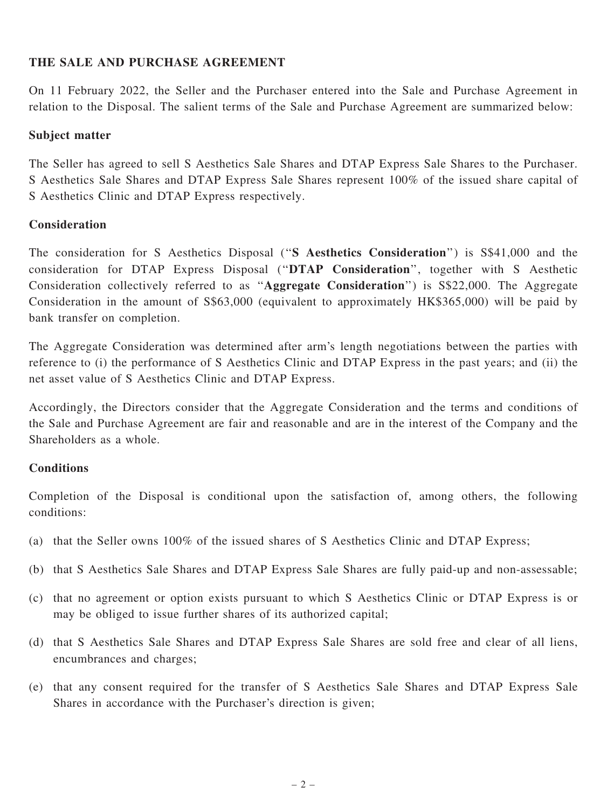### THE SALE AND PURCHASE AGREEMENT

On 11 February 2022, the Seller and the Purchaser entered into the Sale and Purchase Agreement in relation to the Disposal. The salient terms of the Sale and Purchase Agreement are summarized below:

#### Subject matter

The Seller has agreed to sell S Aesthetics Sale Shares and DTAP Express Sale Shares to the Purchaser. S Aesthetics Sale Shares and DTAP Express Sale Shares represent 100% of the issued share capital of S Aesthetics Clinic and DTAP Express respectively.

#### Consideration

The consideration for S Aesthetics Disposal ("S Aesthetics Consideration") is S\$41,000 and the consideration for DTAP Express Disposal (''DTAP Consideration'', together with S Aesthetic Consideration collectively referred to as ''Aggregate Consideration'') is S\$22,000. The Aggregate Consideration in the amount of S\$63,000 (equivalent to approximately HK\$365,000) will be paid by bank transfer on completion.

The Aggregate Consideration was determined after arm's length negotiations between the parties with reference to (i) the performance of S Aesthetics Clinic and DTAP Express in the past years; and (ii) the net asset value of S Aesthetics Clinic and DTAP Express.

Accordingly, the Directors consider that the Aggregate Consideration and the terms and conditions of the Sale and Purchase Agreement are fair and reasonable and are in the interest of the Company and the Shareholders as a whole.

#### **Conditions**

Completion of the Disposal is conditional upon the satisfaction of, among others, the following conditions:

- (a) that the Seller owns 100% of the issued shares of S Aesthetics Clinic and DTAP Express;
- (b) that S Aesthetics Sale Shares and DTAP Express Sale Shares are fully paid-up and non-assessable;
- (c) that no agreement or option exists pursuant to which S Aesthetics Clinic or DTAP Express is or may be obliged to issue further shares of its authorized capital;
- (d) that S Aesthetics Sale Shares and DTAP Express Sale Shares are sold free and clear of all liens, encumbrances and charges;
- (e) that any consent required for the transfer of S Aesthetics Sale Shares and DTAP Express Sale Shares in accordance with the Purchaser's direction is given;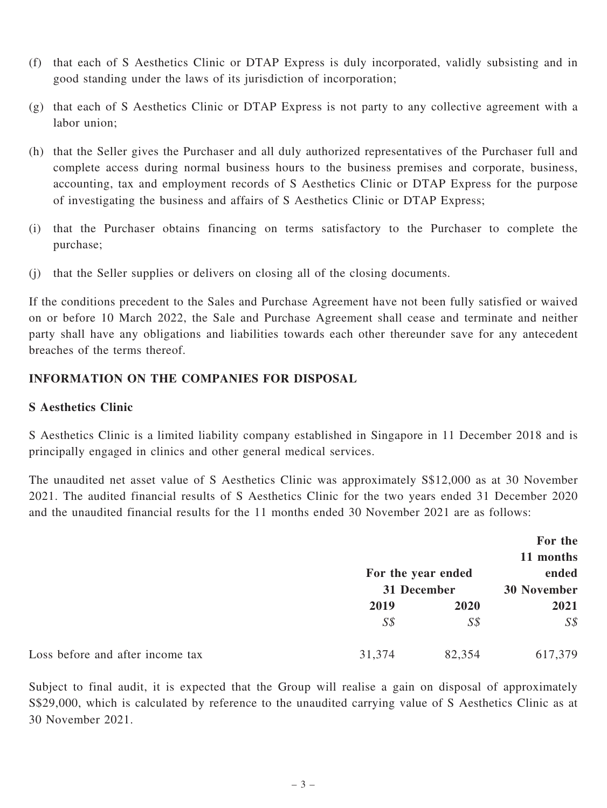- (f) that each of S Aesthetics Clinic or DTAP Express is duly incorporated, validly subsisting and in good standing under the laws of its jurisdiction of incorporation;
- (g) that each of S Aesthetics Clinic or DTAP Express is not party to any collective agreement with a labor union;
- (h) that the Seller gives the Purchaser and all duly authorized representatives of the Purchaser full and complete access during normal business hours to the business premises and corporate, business, accounting, tax and employment records of S Aesthetics Clinic or DTAP Express for the purpose of investigating the business and affairs of S Aesthetics Clinic or DTAP Express;
- (i) that the Purchaser obtains financing on terms satisfactory to the Purchaser to complete the purchase;
- (j) that the Seller supplies or delivers on closing all of the closing documents.

If the conditions precedent to the Sales and Purchase Agreement have not been fully satisfied or waived on or before 10 March 2022, the Sale and Purchase Agreement shall cease and terminate and neither party shall have any obligations and liabilities towards each other thereunder save for any antecedent breaches of the terms thereof.

## INFORMATION ON THE COMPANIES FOR DISPOSAL

### S Aesthetics Clinic

S Aesthetics Clinic is a limited liability company established in Singapore in 11 December 2018 and is principally engaged in clinics and other general medical services.

The unaudited net asset value of S Aesthetics Clinic was approximately S\$12,000 as at 30 November 2021. The audited financial results of S Aesthetics Clinic for the two years ended 31 December 2020 and the unaudited financial results for the 11 months ended 30 November 2021 are as follows:

|                                  |                                   |                | For the                     |  |
|----------------------------------|-----------------------------------|----------------|-----------------------------|--|
|                                  |                                   |                | 11 months                   |  |
|                                  | For the year ended<br>31 December |                | ended<br><b>30 November</b> |  |
|                                  |                                   |                |                             |  |
|                                  | 2019                              | 2020           | 2021                        |  |
|                                  | $S\mathcal{S}$                    | $S\mathcal{S}$ | $S\mathcal{S}$              |  |
| Loss before and after income tax | 31,374                            | 82,354         | 617,379                     |  |

Subject to final audit, it is expected that the Group will realise a gain on disposal of approximately S\$29,000, which is calculated by reference to the unaudited carrying value of S Aesthetics Clinic as at 30 November 2021.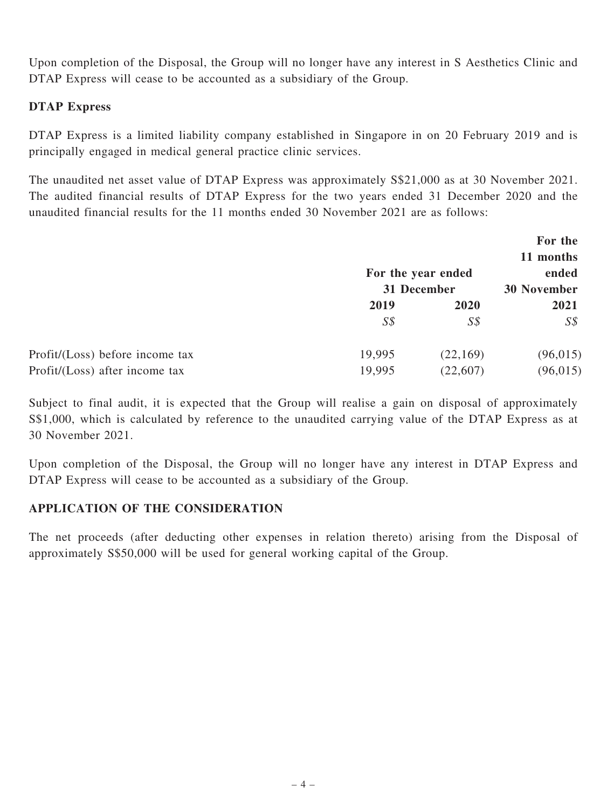Upon completion of the Disposal, the Group will no longer have any interest in S Aesthetics Clinic and DTAP Express will cease to be accounted as a subsidiary of the Group.

## DTAP Express

DTAP Express is a limited liability company established in Singapore in on 20 February 2019 and is principally engaged in medical general practice clinic services.

The unaudited net asset value of DTAP Express was approximately S\$21,000 as at 30 November 2021. The audited financial results of DTAP Express for the two years ended 31 December 2020 and the unaudited financial results for the 11 months ended 30 November 2021 are as follows:

|                                 |                |                    | For the            |  |
|---------------------------------|----------------|--------------------|--------------------|--|
|                                 |                |                    | 11 months          |  |
|                                 |                | For the year ended | ended              |  |
|                                 | 31 December    |                    | <b>30 November</b> |  |
|                                 | 2019           | 2020               | 2021               |  |
|                                 | $S\mathcal{S}$ | $S\mathcal{S}$     | $S\mathcal{S}$     |  |
| Profit/(Loss) before income tax | 19,995         | (22, 169)          | (96, 015)          |  |
| Profit/(Loss) after income tax  | 19,995         | (22,607)           | (96, 015)          |  |

Subject to final audit, it is expected that the Group will realise a gain on disposal of approximately S\$1,000, which is calculated by reference to the unaudited carrying value of the DTAP Express as at 30 November 2021.

Upon completion of the Disposal, the Group will no longer have any interest in DTAP Express and DTAP Express will cease to be accounted as a subsidiary of the Group.

## APPLICATION OF THE CONSIDERATION

The net proceeds (after deducting other expenses in relation thereto) arising from the Disposal of approximately S\$50,000 will be used for general working capital of the Group.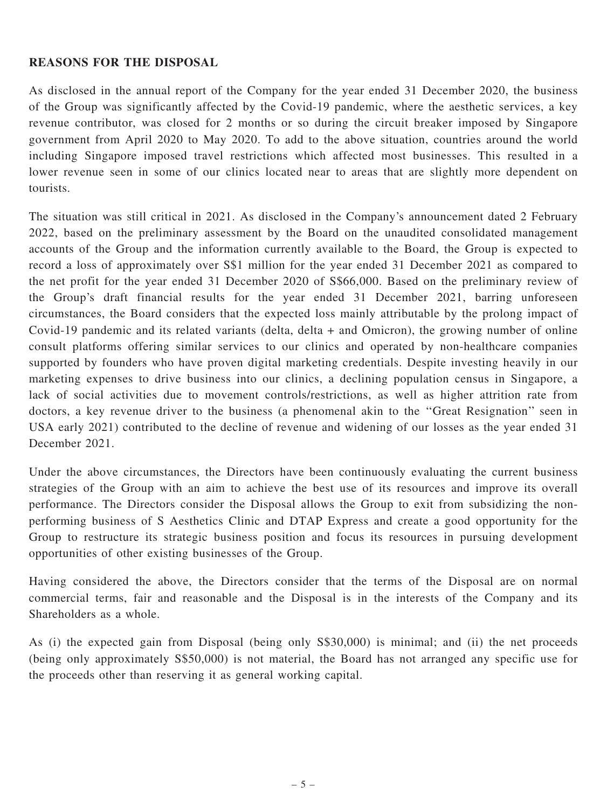### REASONS FOR THE DISPOSAL

As disclosed in the annual report of the Company for the year ended 31 December 2020, the business of the Group was significantly affected by the Covid-19 pandemic, where the aesthetic services, a key revenue contributor, was closed for 2 months or so during the circuit breaker imposed by Singapore government from April 2020 to May 2020. To add to the above situation, countries around the world including Singapore imposed travel restrictions which affected most businesses. This resulted in a lower revenue seen in some of our clinics located near to areas that are slightly more dependent on tourists.

The situation was still critical in 2021. As disclosed in the Company's announcement dated 2 February 2022, based on the preliminary assessment by the Board on the unaudited consolidated management accounts of the Group and the information currently available to the Board, the Group is expected to record a loss of approximately over S\$1 million for the year ended 31 December 2021 as compared to the net profit for the year ended 31 December 2020 of S\$66,000. Based on the preliminary review of the Group's draft financial results for the year ended 31 December 2021, barring unforeseen circumstances, the Board considers that the expected loss mainly attributable by the prolong impact of Covid-19 pandemic and its related variants (delta, delta + and Omicron), the growing number of online consult platforms offering similar services to our clinics and operated by non-healthcare companies supported by founders who have proven digital marketing credentials. Despite investing heavily in our marketing expenses to drive business into our clinics, a declining population census in Singapore, a lack of social activities due to movement controls/restrictions, as well as higher attrition rate from doctors, a key revenue driver to the business (a phenomenal akin to the ''Great Resignation'' seen in USA early 2021) contributed to the decline of revenue and widening of our losses as the year ended 31 December 2021.

Under the above circumstances, the Directors have been continuously evaluating the current business strategies of the Group with an aim to achieve the best use of its resources and improve its overall performance. The Directors consider the Disposal allows the Group to exit from subsidizing the nonperforming business of S Aesthetics Clinic and DTAP Express and create a good opportunity for the Group to restructure its strategic business position and focus its resources in pursuing development opportunities of other existing businesses of the Group.

Having considered the above, the Directors consider that the terms of the Disposal are on normal commercial terms, fair and reasonable and the Disposal is in the interests of the Company and its Shareholders as a whole.

As (i) the expected gain from Disposal (being only S\$30,000) is minimal; and (ii) the net proceeds (being only approximately S\$50,000) is not material, the Board has not arranged any specific use for the proceeds other than reserving it as general working capital.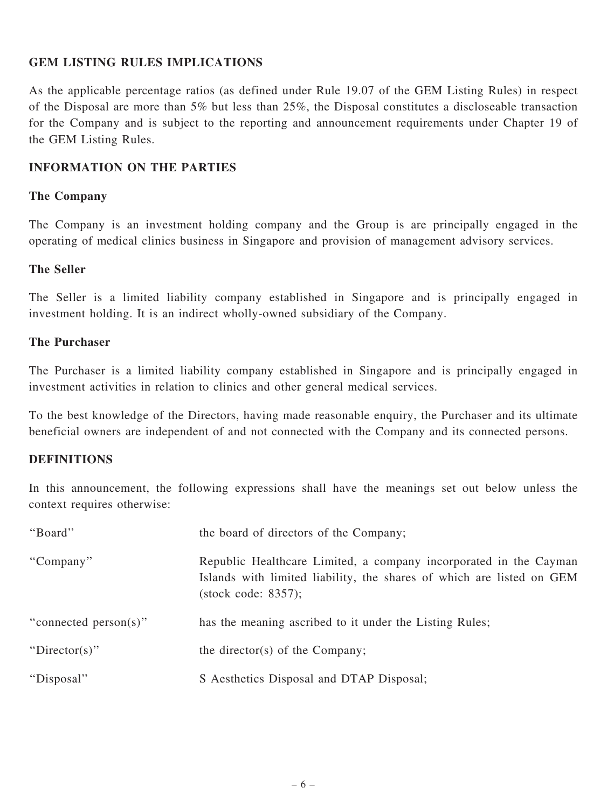## GEM LISTING RULES IMPLICATIONS

As the applicable percentage ratios (as defined under Rule 19.07 of the GEM Listing Rules) in respect of the Disposal are more than 5% but less than 25%, the Disposal constitutes a discloseable transaction for the Company and is subject to the reporting and announcement requirements under Chapter 19 of the GEM Listing Rules.

#### INFORMATION ON THE PARTIES

#### The Company

The Company is an investment holding company and the Group is are principally engaged in the operating of medical clinics business in Singapore and provision of management advisory services.

#### The Seller

The Seller is a limited liability company established in Singapore and is principally engaged in investment holding. It is an indirect wholly-owned subsidiary of the Company.

#### The Purchaser

The Purchaser is a limited liability company established in Singapore and is principally engaged in investment activities in relation to clinics and other general medical services.

To the best knowledge of the Directors, having made reasonable enquiry, the Purchaser and its ultimate beneficial owners are independent of and not connected with the Company and its connected persons.

#### DEFINITIONS

In this announcement, the following expressions shall have the meanings set out below unless the context requires otherwise:

| "Board"               | the board of directors of the Company;                                                                                                                                      |
|-----------------------|-----------------------------------------------------------------------------------------------------------------------------------------------------------------------------|
| "Company"             | Republic Healthcare Limited, a company incorporated in the Cayman<br>Islands with limited liability, the shares of which are listed on GEM<br>$(\text{stock code: } 8357);$ |
| "connected person(s)" | has the meaning ascribed to it under the Listing Rules;                                                                                                                     |
| "Director(s)"         | the director(s) of the Company;                                                                                                                                             |
| "Disposal"            | S Aesthetics Disposal and DTAP Disposal;                                                                                                                                    |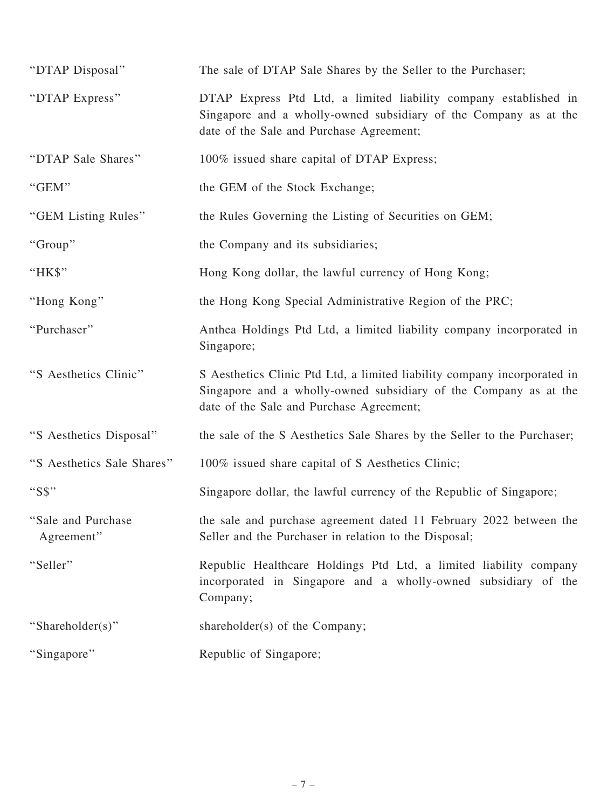| "DTAP Disposal"                   | The sale of DTAP Sale Shares by the Seller to the Purchaser;                                                                                                                             |
|-----------------------------------|------------------------------------------------------------------------------------------------------------------------------------------------------------------------------------------|
| "DTAP Express"                    | DTAP Express Ptd Ltd, a limited liability company established in<br>Singapore and a wholly-owned subsidiary of the Company as at the<br>date of the Sale and Purchase Agreement;         |
| "DTAP Sale Shares"                | 100% issued share capital of DTAP Express;                                                                                                                                               |
| "GEM"                             | the GEM of the Stock Exchange;                                                                                                                                                           |
| "GEM Listing Rules"               | the Rules Governing the Listing of Securities on GEM;                                                                                                                                    |
| "Group"                           | the Company and its subsidiaries;                                                                                                                                                        |
| "HK\$"                            | Hong Kong dollar, the lawful currency of Hong Kong;                                                                                                                                      |
| "Hong Kong"                       | the Hong Kong Special Administrative Region of the PRC;                                                                                                                                  |
| "Purchaser"                       | Anthea Holdings Ptd Ltd, a limited liability company incorporated in<br>Singapore;                                                                                                       |
| "S Aesthetics Clinic"             | S Aesthetics Clinic Ptd Ltd, a limited liability company incorporated in<br>Singapore and a wholly-owned subsidiary of the Company as at the<br>date of the Sale and Purchase Agreement; |
| "S Aesthetics Disposal"           | the sale of the S Aesthetics Sale Shares by the Seller to the Purchaser;                                                                                                                 |
| "S Aesthetics Sale Shares"        | 100% issued share capital of S Aesthetics Clinic;                                                                                                                                        |
| "S\$"                             | Singapore dollar, the lawful currency of the Republic of Singapore;                                                                                                                      |
| "Sale and Purchase"<br>Agreement" | the sale and purchase agreement dated 11 February 2022 between the<br>Seller and the Purchaser in relation to the Disposal;                                                              |
| "Seller"                          | Republic Healthcare Holdings Ptd Ltd, a limited liability company<br>incorporated in Singapore and a wholly-owned subsidiary of the<br>Company;                                          |
| "Shareholder(s)"                  | shareholder(s) of the Company;                                                                                                                                                           |
| "Singapore"                       | Republic of Singapore;                                                                                                                                                                   |